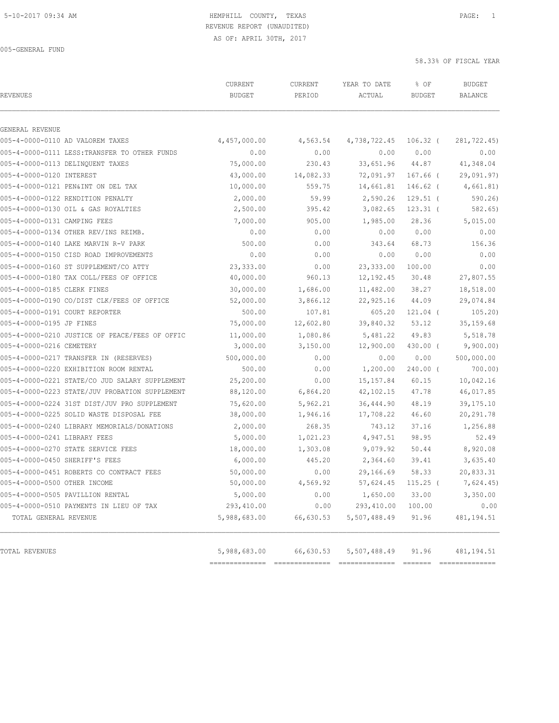# REVENUE REPORT (UNAUDITED)

AS OF: APRIL 30TH, 2017

005-GENERAL FUND

| <b>REVENUES</b>                                | CURRENT<br><b>BUDGET</b> | CURRENT<br>PERIOD | YEAR TO DATE<br>ACTUAL | % OF<br><b>BUDGET</b> | <b>BUDGET</b><br><b>BALANCE</b> |
|------------------------------------------------|--------------------------|-------------------|------------------------|-----------------------|---------------------------------|
| GENERAL REVENUE                                |                          |                   |                        |                       |                                 |
| 005-4-0000-0110 AD VALOREM TAXES               | 4,457,000.00             | 4,563.54          | 4,738,722.45 106.32 (  |                       | 281,722.45)                     |
| 005-4-0000-0111 LESS: TRANSFER TO OTHER FUNDS  | 0.00                     | 0.00              | 0.00                   | 0.00                  | 0.00                            |
| 005-4-0000-0113 DELINQUENT TAXES               | 75,000.00                | 230.43            | 33,651.96 44.87        |                       | 41,348.04                       |
| 005-4-0000-0120 INTEREST                       | 43,000.00                | 14,082.33         |                        | 72,091.97 167.66 (    | 29,091.97)                      |
| 005-4-0000-0121 PEN&INT ON DEL TAX             | 10,000.00                | 559.75            | 14,661.81              | 146.62 (              | 4,661.81)                       |
| 005-4-0000-0122 RENDITION PENALTY              | 2,000.00                 | 59.99             | 2,590.26               | $129.51$ (            | 590.26                          |
| 005-4-0000-0130 OIL & GAS ROYALTIES            | 2,500.00                 | 395.42            | 3,082.65               | $123.31$ (            | 582.65)                         |
| 005-4-0000-0131 CAMPING FEES                   | 7,000.00                 | 905.00            | 1,985.00               | 28.36                 | 5,015.00                        |
| 005-4-0000-0134 OTHER REV/INS REIMB.           | 0.00                     | 0.00              | 0.00                   | 0.00                  | 0.00                            |
| 005-4-0000-0140 LAKE MARVIN R-V PARK           | 500.00                   | 0.00              | 343.64                 | 68.73                 | 156.36                          |
| 005-4-0000-0150 CISD ROAD IMPROVEMENTS         | 0.00                     | 0.00              | 0.00                   | 0.00                  | 0.00                            |
| 005-4-0000-0160 ST SUPPLEMENT/CO ATTY          | 23,333.00                | 0.00              | 23,333.00              | 100.00                | 0.00                            |
| 005-4-0000-0180 TAX COLL/FEES OF OFFICE        | 40,000.00                | 960.13            | 12, 192.45             | 30.48                 | 27,807.55                       |
| 005-4-0000-0185 CLERK FINES                    | 30,000.00                | 1,686.00          | 11,482.00              | 38.27                 | 18,518.00                       |
| 005-4-0000-0190 CO/DIST CLK/FEES OF OFFICE     | 52,000.00                | 3,866.12          | 22,925.16              | 44.09                 | 29,074.84                       |
| 005-4-0000-0191 COURT REPORTER                 | 500.00                   | 107.81            | 605.20                 | 121.04 (              | 105.20)                         |
| 005-4-0000-0195 JP FINES                       | 75,000.00                | 12,602.80         | 39,840.32              | 53.12                 | 35, 159.68                      |
| 005-4-0000-0210 JUSTICE OF PEACE/FEES OF OFFIC | 11,000.00                | 1,080.86          | 5,481.22               | 49.83                 | 5,518.78                        |
| 005-4-0000-0216 CEMETERY                       | 3,000.00                 | 3,150.00          | 12,900.00              | 430.00 (              | 9,900.00)                       |
| 005-4-0000-0217 TRANSFER IN (RESERVES)         | 500,000.00               | 0.00              | 0.00                   | 0.00                  | 500,000.00                      |
| 005-4-0000-0220 EXHIBITION ROOM RENTAL         | 500.00                   | 0.00              | 1,200.00               | 240.00 (              | 700.00)                         |
| 005-4-0000-0221 STATE/CO JUD SALARY SUPPLEMENT | 25,200.00                | 0.00              | 15, 157.84             | 60.15                 | 10,042.16                       |
| 005-4-0000-0223 STATE/JUV PROBATION SUPPLEMENT | 88,120.00                | 6,864.20          | 42,102.15              | 47.78                 | 46,017.85                       |
| 005-4-0000-0224 31ST DIST/JUV PRO SUPPLEMENT   | 75,620.00                | 5,962.21          | 36,444.90              | 48.19                 | 39,175.10                       |
| 005-4-0000-0225 SOLID WASTE DISPOSAL FEE       | 38,000.00                | 1,946.16          | 17,708.22              | 46.60                 | 20, 291.78                      |
| 005-4-0000-0240 LIBRARY MEMORIALS/DONATIONS    | 2,000.00                 | 268.35            | 743.12                 | 37.16                 | 1,256.88                        |
| 005-4-0000-0241 LIBRARY FEES                   | 5,000.00                 | 1,021.23          | 4,947.51               | 98.95                 | 52.49                           |
| 005-4-0000-0270 STATE SERVICE FEES             | 18,000.00                | 1,303.08          | 9,079.92               | 50.44                 | 8,920.08                        |
| 005-4-0000-0450 SHERIFF'S FEES                 | 6,000.00                 | 445.20            | 2,364.60               | 39.41                 | 3,635.40                        |
| 005-4-0000-0451 ROBERTS CO CONTRACT FEES       | 50,000.00                | 0.00              | 29,166.69              | 58.33                 | 20,833.31                       |
| 005-4-0000-0500 OTHER INCOME                   | 50,000.00                | 4,569.92          | 57,624.45 115.25 (     |                       | 7,624.45)                       |
| 005-4-0000-0505 PAVILLION RENTAL               | 5,000.00                 | 0.00              | 1,650.00               | 33.00                 | 3,350.00                        |
| 005-4-0000-0510 PAYMENTS IN LIEU OF TAX        | 293,410.00               | 0.00              | 293,410.00             | 100.00                | 0.00                            |
| TOTAL GENERAL REVENUE                          | 5,988,683.00             | 66,630.53         | 5,507,488.49           | 91.96                 | 481,194.51                      |
| TOTAL REVENUES                                 | 5,988,683.00             | 66,630.53         | 5,507,488.49           | 91.96                 | 481, 194.51                     |

============== ============== ============== ======= ==============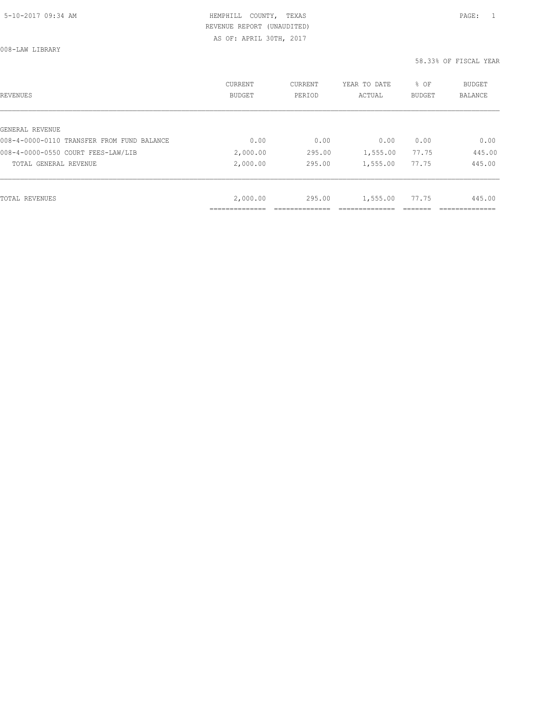# HEMPHILL COUNTY, TEXAS **Example 20:34 AM HEMPHILL** COUNTY, TEXAS REVENUE REPORT (UNAUDITED)

AS OF: APRIL 30TH, 2017

008-LAW LIBRARY

| REVENUES                                   | <b>CURRENT</b><br><b>BUDGET</b> | CURRENT<br>PERIOD | YEAR TO DATE<br>ACTUAL | % OF<br>BUDGET | BUDGET<br><b>BALANCE</b> |
|--------------------------------------------|---------------------------------|-------------------|------------------------|----------------|--------------------------|
|                                            |                                 |                   |                        |                |                          |
| GENERAL REVENUE                            |                                 |                   |                        |                |                          |
| 008-4-0000-0110 TRANSFER FROM FUND BALANCE | 0.00                            | 0.00              | 0.00                   | 0.00           | 0.00                     |
| 008-4-0000-0550 COURT FEES-LAW/LIB         | 2,000.00                        | 295.00            | 1,555.00               | 77.75          | 445.00                   |
| TOTAL GENERAL REVENUE                      | 2,000.00                        | 295.00            | 1,555.00               | 77.75          | 445.00                   |
|                                            |                                 |                   |                        |                |                          |
| TOTAL REVENUES                             | 2,000.00                        | 295.00            | 1,555.00               | 77.75          | 445.00                   |
|                                            |                                 |                   |                        |                |                          |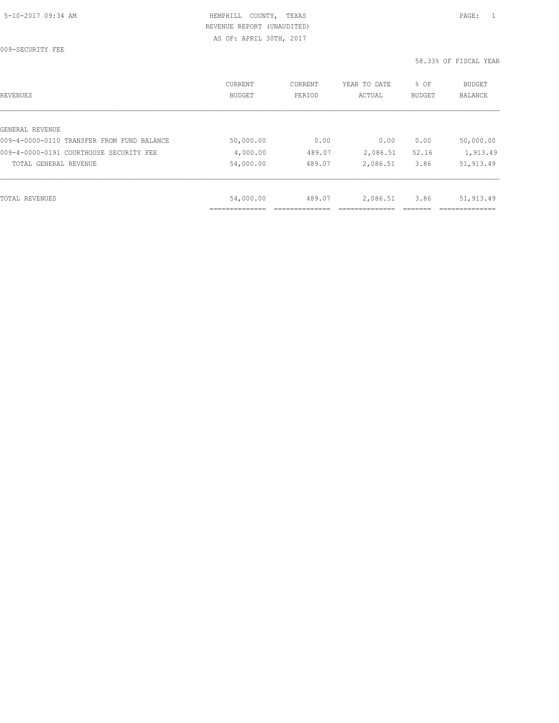009-SECURITY FEE

| REVENUES                                   | CURRENT<br><b>BUDGET</b> | CURRENT<br>PERIOD | YEAR TO DATE<br>ACTUAL | % OF<br><b>BUDGET</b> | BUDGET<br><b>BALANCE</b> |
|--------------------------------------------|--------------------------|-------------------|------------------------|-----------------------|--------------------------|
|                                            |                          |                   |                        |                       |                          |
| GENERAL REVENUE                            |                          |                   |                        |                       |                          |
| 009-4-0000-0110 TRANSFER FROM FUND BALANCE | 50,000.00                | 0.00              | 0.00                   | 0.00                  | 50,000.00                |
| 009-4-0000-0191 COURTHOUSE SECURITY FEE    | 4,000.00                 | 489.07            | 2,086.51               | 52.16                 | 1,913.49                 |
| TOTAL GENERAL REVENUE                      | 54,000.00                | 489.07            | 2,086.51               | 3.86                  | 51,913.49                |
|                                            |                          |                   |                        |                       |                          |
| TOTAL REVENUES                             | 54,000.00                | 489.07            | 2,086.51               | 3.86                  | 51,913.49                |
|                                            |                          |                   |                        |                       |                          |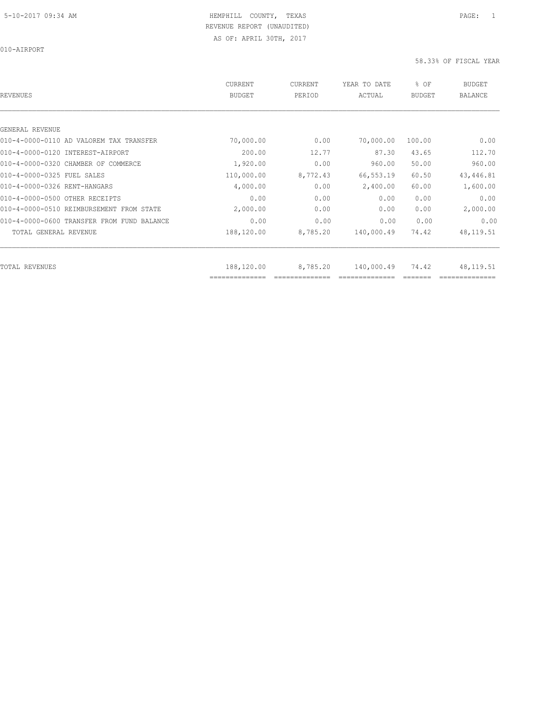010-AIRPORT

| REVENUES                                   | CURRENT<br><b>BUDGET</b>     | CURRENT<br>PERIOD | YEAR TO DATE<br>ACTUAL | % OF<br><b>BUDGET</b> | BUDGET<br><b>BALANCE</b> |
|--------------------------------------------|------------------------------|-------------------|------------------------|-----------------------|--------------------------|
|                                            |                              |                   |                        |                       |                          |
| GENERAL REVENUE                            |                              |                   |                        |                       |                          |
| 010-4-0000-0110 AD VALOREM TAX TRANSFER    | 70,000.00                    | 0.00              | 70,000.00              | 100.00                | 0.00                     |
| 010-4-0000-0120 INTEREST-AIRPORT           | 200.00                       | 12.77             | 87.30                  | 43.65                 | 112.70                   |
| 010-4-0000-0320 CHAMBER OF COMMERCE        | 1,920.00                     | 0.00              | 960.00                 | 50.00                 | 960.00                   |
| 010-4-0000-0325 FUEL SALES                 | 110,000.00                   | 8,772.43          | 66,553.19              | 60.50                 | 43, 446.81               |
| 010-4-0000-0326 RENT-HANGARS               | 4,000.00                     | 0.00              | 2,400.00               | 60.00                 | 1,600.00                 |
| 010-4-0000-0500 OTHER RECEIPTS             | 0.00                         | 0.00              | 0.00                   | 0.00                  | 0.00                     |
| 010-4-0000-0510 REIMBURSEMENT FROM STATE   | 2,000.00                     | 0.00              | 0.00                   | 0.00                  | 2,000.00                 |
| 010-4-0000-0600 TRANSFER FROM FUND BALANCE | 0.00                         | 0.00              | 0.00                   | 0.00                  | 0.00                     |
| TOTAL GENERAL REVENUE                      | 188,120.00                   | 8,785.20          | 140,000.49             | 74.42                 | 48, 119.51               |
|                                            |                              |                   |                        |                       |                          |
| TOTAL REVENUES                             | 188,120.00<br>============== | 8,785.20          | 140,000.49             | 74.42                 | 48,119.51                |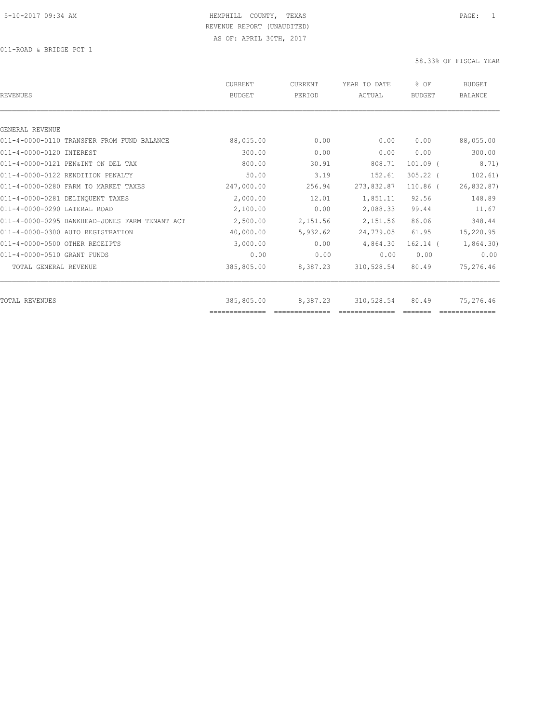| <b>REVENUES</b>                                | <b>CURRENT</b><br><b>BUDGET</b> | <b>CURRENT</b><br>PERIOD | YEAR TO DATE<br>ACTUAL | % OF<br><b>BUDGET</b> | <b>BUDGET</b><br><b>BALANCE</b> |
|------------------------------------------------|---------------------------------|--------------------------|------------------------|-----------------------|---------------------------------|
|                                                |                                 |                          |                        |                       |                                 |
| GENERAL REVENUE                                |                                 |                          |                        |                       |                                 |
| 011-4-0000-0110 TRANSFER FROM FUND BALANCE     | 88,055.00                       | 0.00                     | 0.00                   | 0.00                  | 88,055.00                       |
| 011-4-0000-0120 INTEREST                       | 300.00                          | 0.00                     | 0.00                   | 0.00                  | 300.00                          |
| 011-4-0000-0121 PEN&INT ON DEL TAX             | 800.00                          | 30.91                    | 808.71                 | $101.09$ (            | 8.71)                           |
| 011-4-0000-0122 RENDITION PENALTY              | 50.00                           | 3.19                     | 152.61                 | $305.22$ (            | 102.61)                         |
| 011-4-0000-0280 FARM TO MARKET TAXES           | 247,000.00                      | 256.94                   | 273,832.87             | $110.86$ (            | 26,832.87)                      |
| 011-4-0000-0281 DELINQUENT TAXES               | 2,000.00                        | 12.01                    | 1,851.11               | 92.56                 | 148.89                          |
| 011-4-0000-0290 LATERAL ROAD                   | 2,100.00                        | 0.00                     | 2,088.33               | 99.44                 | 11.67                           |
| 011-4-0000-0295 BANKHEAD-JONES FARM TENANT ACT | 2,500.00                        | 2,151.56                 | 2,151.56               | 86.06                 | 348.44                          |
| 011-4-0000-0300 AUTO REGISTRATION              | 40,000.00                       | 5,932.62                 | 24,779.05              | 61.95                 | 15,220.95                       |
| 011-4-0000-0500 OTHER RECEIPTS                 | 3,000.00                        | 0.00                     | 4,864.30               | $162.14$ $($          | 1,864.30)                       |
| 011-4-0000-0510 GRANT FUNDS                    | 0.00                            | 0.00                     | 0.00                   | 0.00                  | 0.00                            |
| TOTAL GENERAL REVENUE                          | 385,805.00                      | 8,387.23                 | 310,528.54             | 80.49                 | 75,276.46                       |
| <b>TOTAL REVENUES</b>                          | 385,805.00                      | 8,387.23                 | 310,528.54             | 80.49                 | 75,276.46                       |
|                                                |                                 |                          |                        |                       |                                 |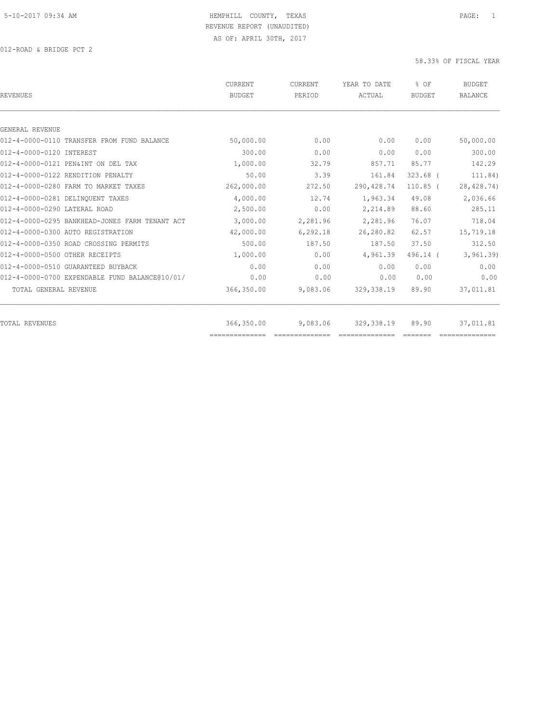| <b>REVENUES</b>                                | <b>CURRENT</b><br><b>BUDGET</b> | <b>CURRENT</b><br>PERIOD | YEAR TO DATE<br>ACTUAL                                                                                                                                                                                                                                                                                                                                                                                                                                                                       | % OF<br><b>BUDGET</b> | <b>BUDGET</b><br><b>BALANCE</b> |
|------------------------------------------------|---------------------------------|--------------------------|----------------------------------------------------------------------------------------------------------------------------------------------------------------------------------------------------------------------------------------------------------------------------------------------------------------------------------------------------------------------------------------------------------------------------------------------------------------------------------------------|-----------------------|---------------------------------|
|                                                |                                 |                          |                                                                                                                                                                                                                                                                                                                                                                                                                                                                                              |                       |                                 |
| GENERAL REVENUE                                |                                 |                          |                                                                                                                                                                                                                                                                                                                                                                                                                                                                                              |                       |                                 |
| 012-4-0000-0110 TRANSFER FROM FUND BALANCE     | 50,000.00                       | 0.00                     | 0.00                                                                                                                                                                                                                                                                                                                                                                                                                                                                                         | 0.00                  | 50,000.00                       |
| 012-4-0000-0120 INTEREST                       | 300.00                          | 0.00                     | 0.00                                                                                                                                                                                                                                                                                                                                                                                                                                                                                         | 0.00                  | 300.00                          |
| 012-4-0000-0121 PEN&INT ON DEL TAX             | 1,000.00                        | 32.79                    | 857.71                                                                                                                                                                                                                                                                                                                                                                                                                                                                                       | 85.77                 | 142.29                          |
| 012-4-0000-0122 RENDITION PENALTY              | 50.00                           | 3.39                     | 161.84                                                                                                                                                                                                                                                                                                                                                                                                                                                                                       | $323.68$ (            | 111.84)                         |
| 012-4-0000-0280 FARM TO MARKET TAXES           | 262,000.00                      | 272.50                   | 290, 428.74                                                                                                                                                                                                                                                                                                                                                                                                                                                                                  | $110.85$ (            | 28, 428.74)                     |
| 012-4-0000-0281 DELINQUENT TAXES               | 4,000.00                        | 12.74                    | 1,963.34                                                                                                                                                                                                                                                                                                                                                                                                                                                                                     | 49.08                 | 2,036.66                        |
| 012-4-0000-0290 LATERAL ROAD                   | 2,500.00                        | 0.00                     | 2,214.89                                                                                                                                                                                                                                                                                                                                                                                                                                                                                     | 88.60                 | 285.11                          |
| 012-4-0000-0295 BANKHEAD-JONES FARM TENANT ACT | 3,000.00                        | 2,281.96                 | 2,281.96                                                                                                                                                                                                                                                                                                                                                                                                                                                                                     | 76.07                 | 718.04                          |
| 012-4-0000-0300 AUTO REGISTRATION              | 42,000.00                       | 6, 292.18                | 26,280.82                                                                                                                                                                                                                                                                                                                                                                                                                                                                                    | 62.57                 | 15,719.18                       |
| 012-4-0000-0350 ROAD CROSSING PERMITS          | 500.00                          | 187.50                   | 187.50                                                                                                                                                                                                                                                                                                                                                                                                                                                                                       | 37.50                 | 312.50                          |
| 012-4-0000-0500 OTHER RECEIPTS                 | 1,000.00                        | 0.00                     | 4,961.39                                                                                                                                                                                                                                                                                                                                                                                                                                                                                     | 496.14 (              | 3, 961.39                       |
| 012-4-0000-0510 GUARANTEED BUYBACK             | 0.00                            | 0.00                     | 0.00                                                                                                                                                                                                                                                                                                                                                                                                                                                                                         | 0.00                  | 0.00                            |
| 012-4-0000-0700 EXPENDABLE FUND BALANCE@10/01/ | 0.00                            | 0.00                     | 0.00                                                                                                                                                                                                                                                                                                                                                                                                                                                                                         | 0.00                  | 0.00                            |
| TOTAL GENERAL REVENUE                          | 366,350.00                      | 9,083.06                 | 329, 338.19                                                                                                                                                                                                                                                                                                                                                                                                                                                                                  | 89.90                 | 37,011.81                       |
| <b>TOTAL REVENUES</b>                          | 366,350.00                      | 9,083.06                 | 329, 338.19                                                                                                                                                                                                                                                                                                                                                                                                                                                                                  | 89.90                 | 37,011.81                       |
|                                                | ==============                  | $-2222222222222$         | $\begin{array}{c} \multicolumn{2}{c} {\textbf{1}} & \multicolumn{2}{c} {\textbf{2}} & \multicolumn{2}{c} {\textbf{3}} & \multicolumn{2}{c} {\textbf{4}} \\ \multicolumn{2}{c} {\textbf{5}} & \multicolumn{2}{c} {\textbf{6}} & \multicolumn{2}{c} {\textbf{7}} & \multicolumn{2}{c} {\textbf{8}} & \multicolumn{2}{c} {\textbf{9}} \\ \multicolumn{2}{c} {\textbf{1}} & \multicolumn{2}{c} {\textbf{1}} & \multicolumn{2}{c} {\textbf{1}} & \multicolumn{2}{c} {\textbf{1}} & \multicolumn{$ |                       |                                 |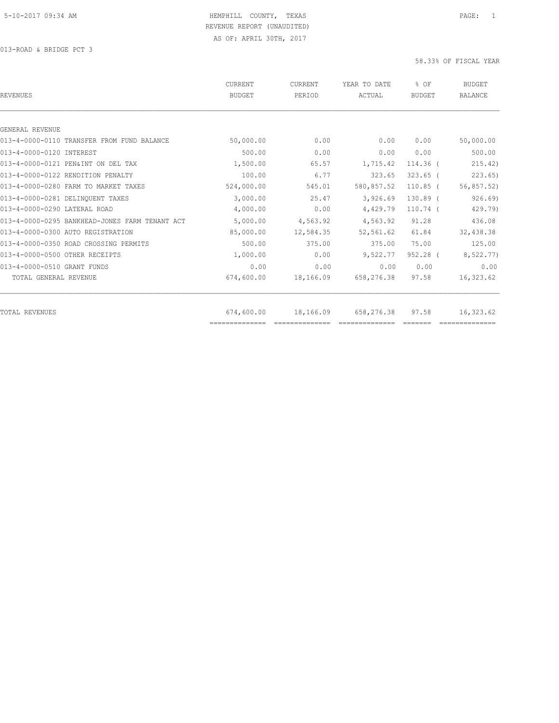| <b>CURRENT</b><br><b>BUDGET</b> | <b>CURRENT</b><br>PERIOD | YEAR TO DATE<br>ACTUAL      | % OF<br><b>BUDGET</b> | <b>BUDGET</b><br><b>BALANCE</b> |
|---------------------------------|--------------------------|-----------------------------|-----------------------|---------------------------------|
|                                 |                          |                             |                       |                                 |
|                                 |                          |                             |                       |                                 |
| 50,000.00                       | 0.00                     | 0.00                        | 0.00                  | 50,000.00                       |
| 500.00                          | 0.00                     | 0.00                        | 0.00                  | 500.00                          |
| 1,500.00                        | 65.57                    | 1,715.42                    | 114.36 (              | 215.42)                         |
| 100.00                          | 6.77                     | 323.65                      | $323.65$ (            | 223.65                          |
| 524,000.00                      | 545.01                   | 580,857.52                  | $110.85$ (            | 56,857.52)                      |
| 3,000.00                        | 25.47                    | 3,926.69                    | $130.89$ $($          | 926.69                          |
| 4,000.00                        | 0.00                     | 4,429.79                    | $110.74$ (            | 429.79)                         |
| 5,000.00                        | 4,563.92                 | 4,563.92                    | 91.28                 | 436.08                          |
| 85,000.00                       | 12,584.35                | 52,561.62                   | 61.84                 | 32,438.38                       |
| 500.00                          | 375.00                   | 375.00                      | 75.00                 | 125.00                          |
| 1,000.00                        | 0.00                     | 9,522.77                    | 952.28 (              | 8,522.77)                       |
| 0.00                            | 0.00                     | 0.00                        | 0.00                  | 0.00                            |
| 674,600.00                      | 18,166.09                | 658,276.38                  | 97.58                 | 16,323.62                       |
|                                 |                          |                             |                       |                                 |
| ==============                  |                          |                             |                       | 16,323.62                       |
|                                 | 674,600.00               | 18,166.09<br>22222222222222 | 658,276.38            | 97.58                           |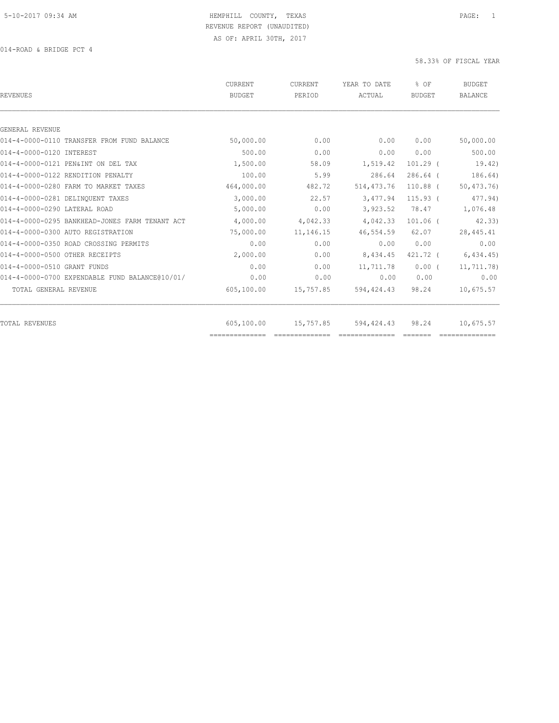| <b>REVENUES</b>                                | CURRENT<br><b>BUDGET</b> | <b>CURRENT</b><br>PERIOD | YEAR TO DATE<br>ACTUAL | % OF<br><b>BUDGET</b> | <b>BUDGET</b><br><b>BALANCE</b> |
|------------------------------------------------|--------------------------|--------------------------|------------------------|-----------------------|---------------------------------|
|                                                |                          |                          |                        |                       |                                 |
| GENERAL REVENUE                                |                          | 0.00                     |                        |                       |                                 |
| 014-4-0000-0110 TRANSFER FROM FUND BALANCE     | 50,000.00                |                          | 0.00                   | 0.00                  | 50,000.00                       |
| 014-4-0000-0120 INTEREST                       | 500.00                   | 0.00                     | 0.00                   | 0.00                  | 500.00                          |
| 014-4-0000-0121 PEN&INT ON DEL TAX             | 1,500.00                 | 58.09                    | 1,519.42               | $101.29$ (            | 19.42)                          |
| 014-4-0000-0122 RENDITION PENALTY              | 100.00                   | 5.99                     | 286.64                 | $286.64$ (            | 186.64)                         |
| 014-4-0000-0280 FARM TO MARKET TAXES           | 464,000.00               | 482.72                   | 514, 473.76            | $110.88$ (            | 50, 473.76                      |
| 014-4-0000-0281 DELINQUENT TAXES               | 3,000.00                 | 22.57                    | 3,477.94               | $115.93$ $($          | 477.94)                         |
| 014-4-0000-0290 LATERAL ROAD                   | 5,000.00                 | 0.00                     | 3,923.52               | 78.47                 | 1,076.48                        |
| 014-4-0000-0295 BANKHEAD-JONES FARM TENANT ACT | 4,000.00                 | 4,042.33                 | 4,042.33               | $101.06$ (            | 42.33                           |
| 014-4-0000-0300 AUTO REGISTRATION              | 75,000.00                | 11, 146. 15              | 46,554.59              | 62.07                 | 28, 445.41                      |
| 014-4-0000-0350 ROAD CROSSING PERMITS          | 0.00                     | 0.00                     | 0.00                   | 0.00                  | 0.00                            |
| 014-4-0000-0500 OTHER RECEIPTS                 | 2,000.00                 | 0.00                     | 8,434.45               | 421.72 (              | 6,434.45)                       |
| 014-4-0000-0510 GRANT FUNDS                    | 0.00                     | 0.00                     | 11,711.78              | $0.00$ (              | 11,711.78)                      |
| 014-4-0000-0700 EXPENDABLE FUND BALANCE@10/01/ | 0.00                     | 0.00                     | 0.00                   | 0.00                  | 0.00                            |
| TOTAL GENERAL REVENUE                          | 605,100.00               | 15,757.85                | 594,424.43             | 98.24                 | 10,675.57                       |
| <b>TOTAL REVENUES</b>                          | 605,100.00               | 15,757.85                | 594,424.43             | 98.24                 | 10,675.57                       |
|                                                |                          |                          |                        |                       |                                 |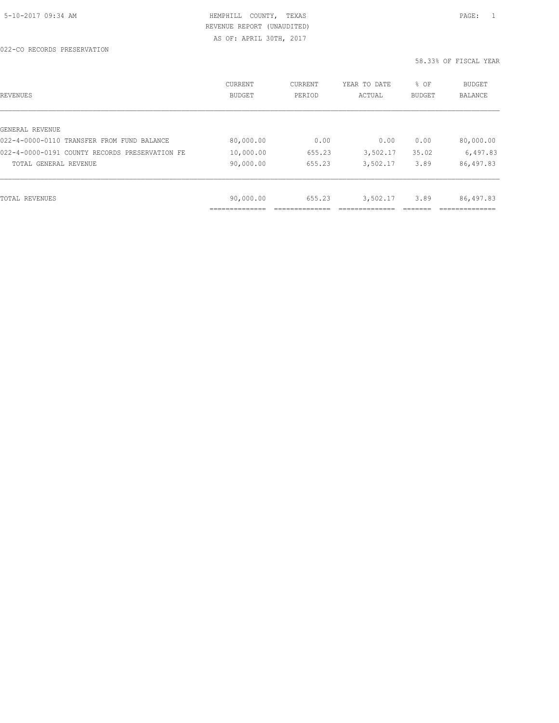AS OF: APRIL 30TH, 2017

| REVENUES                                       | CURRENT<br><b>BUDGET</b> | CURRENT<br>PERIOD | YEAR TO DATE<br>ACTUAL | % OF<br>BUDGET | <b>BUDGET</b><br><b>BALANCE</b> |
|------------------------------------------------|--------------------------|-------------------|------------------------|----------------|---------------------------------|
|                                                |                          |                   |                        |                |                                 |
| GENERAL REVENUE                                |                          |                   |                        |                |                                 |
| 022-4-0000-0110 TRANSFER FROM FUND BALANCE     | 80,000.00                | 0.00              | 0.00                   | 0.00           | 80,000.00                       |
| 022-4-0000-0191 COUNTY RECORDS PRESERVATION FE | 10,000.00                | 655.23            | 3,502.17               | 35.02          | 6,497.83                        |
| TOTAL GENERAL REVENUE                          | 90,000.00                | 655.23            | 3,502.17               | 3.89           | 86,497.83                       |
|                                                |                          |                   |                        |                |                                 |
| TOTAL REVENUES                                 | 90,000.00                | 655.23            | 3,502.17               | 3.89           | 86,497.83                       |
|                                                |                          |                   |                        |                |                                 |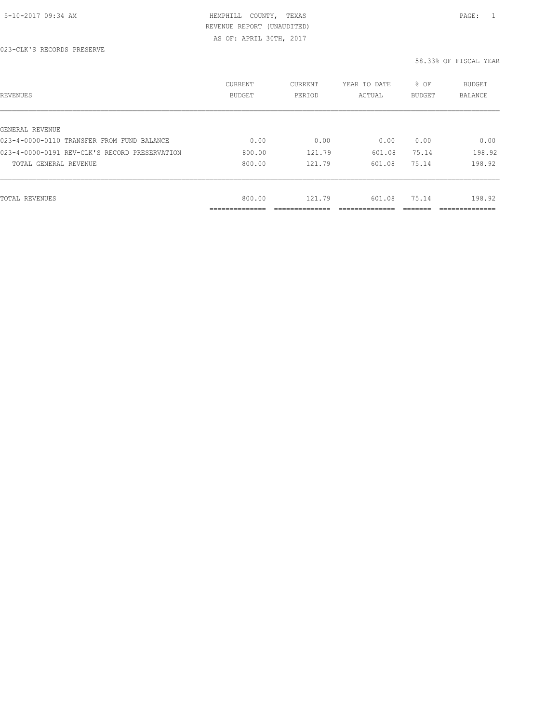AS OF: APRIL 30TH, 2017

| REVENUES                                      | CURRENT<br><b>BUDGET</b> | CURRENT<br>PERIOD | YEAR TO DATE<br>ACTUAL | % OF<br>BUDGET | BUDGET<br><b>BALANCE</b> |
|-----------------------------------------------|--------------------------|-------------------|------------------------|----------------|--------------------------|
|                                               |                          |                   |                        |                |                          |
| GENERAL REVENUE                               |                          |                   |                        |                |                          |
| 023-4-0000-0110 TRANSFER FROM FUND BALANCE    | 0.00                     | 0.00              | 0.00                   | 0.00           | 0.00                     |
| 023-4-0000-0191 REV-CLK'S RECORD PRESERVATION | 800.00                   | 121.79            | 601.08                 | 75.14          | 198.92                   |
| TOTAL GENERAL REVENUE                         | 800.00                   | 121.79            | 601.08                 | 75.14          | 198.92                   |
|                                               |                          |                   |                        |                |                          |
| TOTAL REVENUES                                | 800.00                   | 121.79            | 601.08                 | 75.14          | 198.92                   |
|                                               | ____________<br>.        |                   |                        |                | .                        |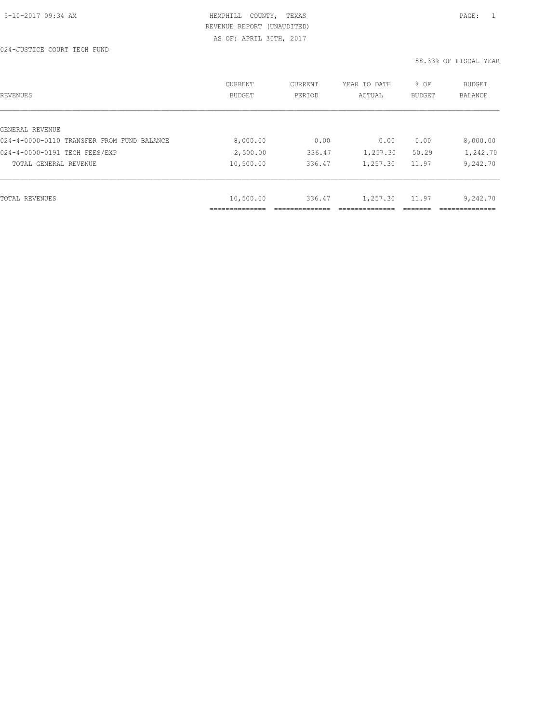AS OF: APRIL 30TH, 2017

| REVENUES                                   | <b>CURRENT</b><br><b>BUDGET</b> | CURRENT<br>PERIOD | YEAR TO DATE<br>ACTUAL | % OF<br>BUDGET | BUDGET<br><b>BALANCE</b> |
|--------------------------------------------|---------------------------------|-------------------|------------------------|----------------|--------------------------|
|                                            |                                 |                   |                        |                |                          |
| GENERAL REVENUE                            |                                 |                   |                        |                |                          |
| 024-4-0000-0110 TRANSFER FROM FUND BALANCE | 8,000.00                        | 0.00              | 0.00                   | 0.00           | 8,000.00                 |
| 024-4-0000-0191 TECH FEES/EXP              | 2,500.00                        | 336.47            | 1,257.30               | 50.29          | 1,242.70                 |
| TOTAL GENERAL REVENUE                      | 10,500.00                       | 336.47            | 1,257.30               | 11.97          | 9,242.70                 |
|                                            |                                 |                   |                        |                |                          |
| TOTAL REVENUES                             | 10,500.00                       | 336.47            | 1,257.30               | 11.97          | 9,242.70                 |
|                                            |                                 |                   |                        |                |                          |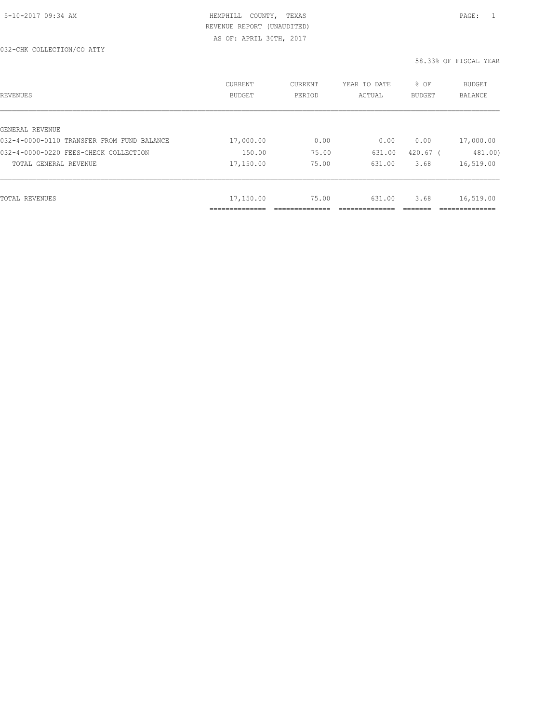032-CHK COLLECTION/CO ATTY

| REVENUES                                   | CURRENT<br><b>BUDGET</b> | CURRENT<br>PERIOD | YEAR TO DATE<br>ACTUAL | % OF<br><b>BUDGET</b> | <b>BUDGET</b><br><b>BALANCE</b> |
|--------------------------------------------|--------------------------|-------------------|------------------------|-----------------------|---------------------------------|
|                                            |                          |                   |                        |                       |                                 |
| GENERAL REVENUE                            |                          |                   |                        |                       |                                 |
| 032-4-0000-0110 TRANSFER FROM FUND BALANCE | 17,000.00                | 0.00              | 0.00                   | 0.00                  | 17,000.00                       |
| 032-4-0000-0220 FEES-CHECK COLLECTION      | 150.00                   | 75.00             | 631.00                 | $420.67$ (            | 481.00)                         |
| TOTAL GENERAL REVENUE                      | 17,150.00                | 75.00             | 631.00                 | 3.68                  | 16,519.00                       |
|                                            |                          |                   |                        |                       |                                 |
| TOTAL REVENUES                             | 17,150.00                | 75.00             | 631.00                 | 3.68                  | 16,519.00                       |
|                                            | ---------                |                   |                        |                       |                                 |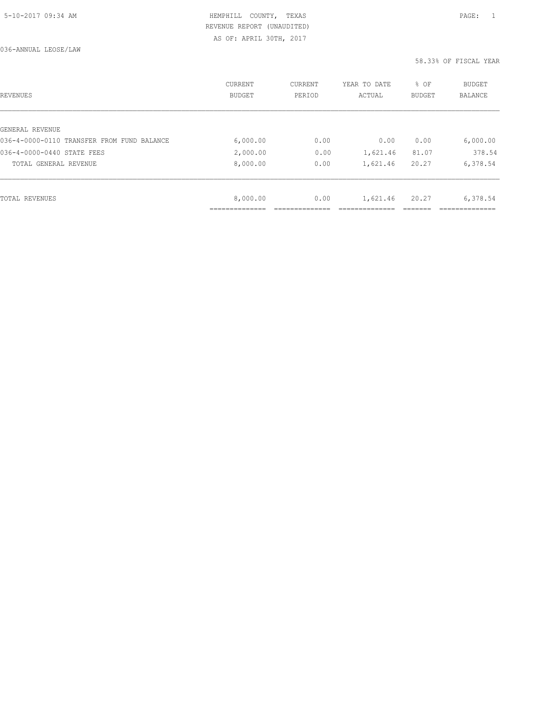036-ANNUAL LEOSE/LAW

| REVENUES                                   | CURRENT<br>BUDGET | CURRENT<br>PERIOD | YEAR TO DATE<br>ACTUAL | % OF<br><b>BUDGET</b> | <b>BUDGET</b><br>BALANCE |
|--------------------------------------------|-------------------|-------------------|------------------------|-----------------------|--------------------------|
|                                            |                   |                   |                        |                       |                          |
| GENERAL REVENUE                            |                   |                   |                        |                       |                          |
| 036-4-0000-0110 TRANSFER FROM FUND BALANCE | 6,000.00          | 0.00              | 0.00                   | 0.00                  | 6,000.00                 |
| 036-4-0000-0440 STATE FEES                 | 2,000.00          | 0.00              | 1,621.46               | 81.07                 | 378.54                   |
| TOTAL GENERAL REVENUE                      | 8,000.00          | 0.00              | 1,621.46               | 20.27                 | 6,378.54                 |
|                                            |                   |                   |                        |                       |                          |
| TOTAL REVENUES                             | 8,000.00          | 0.00              | 1,621.46               | 20.27                 | 6,378.54                 |
|                                            |                   |                   |                        |                       |                          |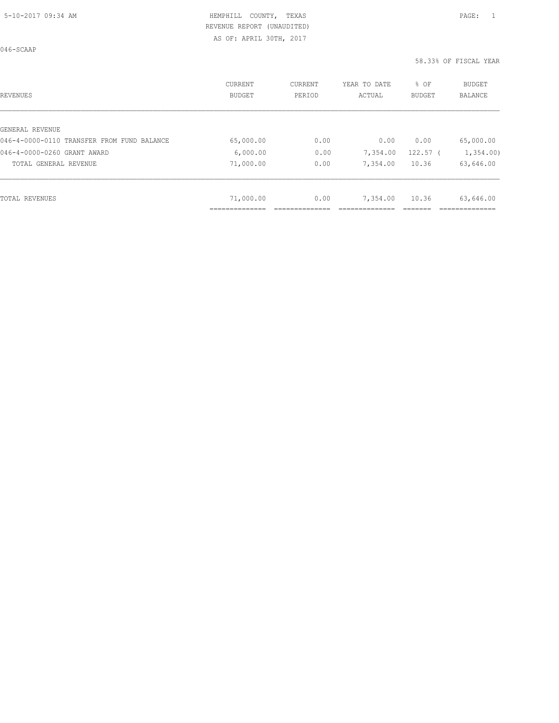AS OF: APRIL 30TH, 2017

| <b>REVENUES</b>                            | CURRENT<br><b>BUDGET</b> | CURRENT<br>PERIOD | YEAR TO DATE<br>ACTUAL | % OF<br><b>BUDGET</b> | BUDGET<br><b>BALANCE</b> |
|--------------------------------------------|--------------------------|-------------------|------------------------|-----------------------|--------------------------|
|                                            |                          |                   |                        |                       |                          |
| GENERAL REVENUE                            |                          |                   |                        |                       |                          |
| 046-4-0000-0110 TRANSFER FROM FUND BALANCE | 65,000.00                | 0.00              | 0.00                   | 0.00                  | 65,000.00                |
| 046-4-0000-0260 GRANT AWARD                | 6,000.00                 | 0.00              | 7,354.00               | $122.57$ (            | 1,354.00                 |
| TOTAL GENERAL REVENUE                      | 71,000.00                | 0.00              | 7,354.00               | 10.36                 | 63,646.00                |
|                                            |                          |                   |                        |                       |                          |
| <b>TOTAL REVENUES</b>                      | 71,000.00                | 0.00              | 7,354.00               | 10.36                 | 63,646.00                |
|                                            | ______________           |                   |                        |                       |                          |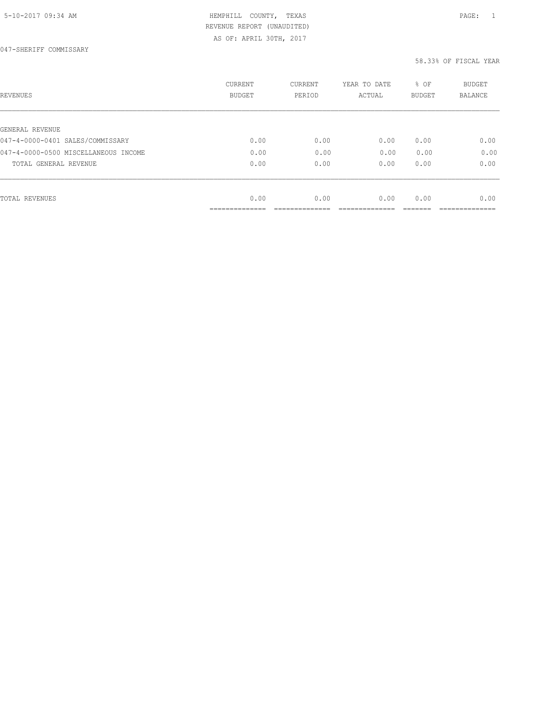| 5-10-2017 09:34 AM |  |
|--------------------|--|
|--------------------|--|

# HEMPHILL COUNTY, TEXAS **Example 20:34 AM HEMPHILL** COUNTY, TEXAS REVENUE REPORT (UNAUDITED)

AS OF: APRIL 30TH, 2017

| REVENUES                             | <b>CURRENT</b><br>BUDGET | CURRENT<br>PERIOD | YEAR TO DATE<br>ACTUAL | % OF<br><b>BUDGET</b> | <b>BUDGET</b><br>BALANCE |
|--------------------------------------|--------------------------|-------------------|------------------------|-----------------------|--------------------------|
|                                      |                          |                   |                        |                       |                          |
| GENERAL REVENUE                      |                          |                   |                        |                       |                          |
| 047-4-0000-0401 SALES/COMMISSARY     | 0.00                     | 0.00              | 0.00                   | 0.00                  | 0.00                     |
| 047-4-0000-0500 MISCELLANEOUS INCOME | 0.00                     | 0.00              | 0.00                   | 0.00                  | 0.00                     |
| TOTAL GENERAL REVENUE                | 0.00                     | 0.00              | 0.00                   | 0.00                  | 0.00                     |
|                                      |                          |                   |                        |                       |                          |
| TOTAL REVENUES                       | 0.00                     | 0.00              | 0.00                   | 0.00                  | 0.00                     |
|                                      | __________               |                   |                        |                       |                          |